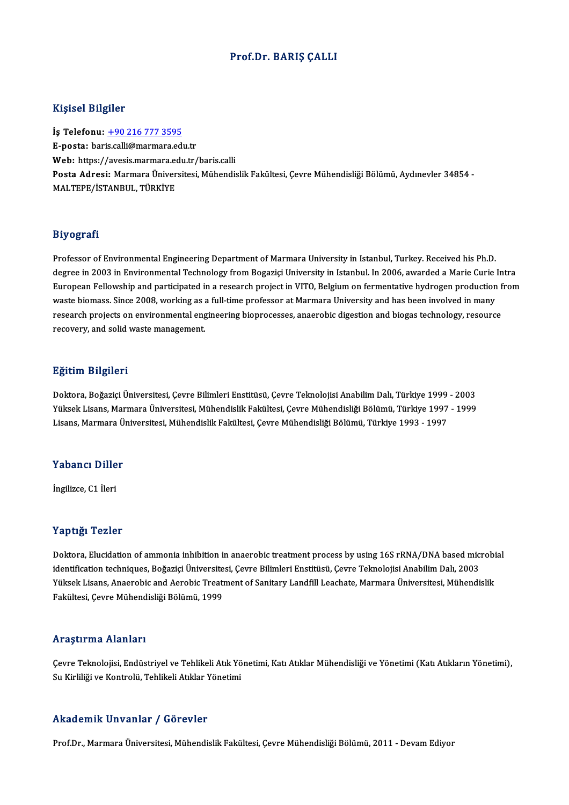## Prof.Dr. BARIŞ ÇALLI

## Kişisel Bilgiler

İş Telefonu: +90 216 777 3595 E-posta: baris.call[i@marmara.ed](tel:+90 216 777 3595)u.tr İş Telefonu: <u>+90 216 777 3595</u><br>E-posta: baris.calli@marmara.edu.tr<br>Web: https://avesis.marmara.edu.tr/baris.calli<br>Posta Adrosi: Marmara Üniversitesi Mühandis Posta Adresi: Marmara Üniversitesi, Mühendislik Fakültesi, Çevre Mühendisliği Bölümü, Aydınevler 34854 - MALTEPE/İSTANBUL, TÜRKİYE Web: https://avesis.marmara.eq<br>Posta Adresi: Marmara Üniver<br>MALTEPE/İSTANBUL, TÜRKİYE

## Biyografi

Professor of Environmental Engineering Department of Marmara University in Istanbul, Turkey. Received his Ph.D. ouy oga uni<br>Professor of Environmental Engineering Department of Marmara University in Istanbul, Turkey. Received his Ph.D<br>Guronean Fellowship and participated in a receaseb project in VITO Pelsium on formentative bydrogen Professor of Environmental Engineering Department of Marmara University in Istanbul, Turkey. Received his Ph.D.<br>degree in 2003 in Environmental Technology from Bogaziçi University in Istanbul. In 2006, awarded a Marie Curi degree in 2003 in Environmental Technology from Bogaziçi University in Istanbul. In 2006, awarded a Marie Curie<br>European Fellowship and participated in a research project in VITO, Belgium on fermentative hydrogen productio European Fellowship and participated in a research project in VITO, Belgium on fermentative hydrogen production f<br>waste biomass. Since 2008, working as a full-time professor at Marmara University and has been involved in m waste biomass. Since 2008, working as a<br>research projects on environmental eng<br>recovery, and solid waste management. recovery, and solid waste management.<br>Eğitim Bilgileri

Doktora,BoğaziçiÜniversitesi,ÇevreBilimleriEnstitüsü,ÇevreTeknolojisiAnabilimDalı,Türkiye 1999 -2003 25.0000 20.5.0000<br>Doktora, Boğaziçi Üniversitesi, Çevre Bilimleri Enstitüsü, Çevre Teknolojisi Anabilim Dalı, Türkiye 1999 - 2003<br>Yüksek Lisans, Marmara Üniversitesi, Mühendislik Fakültesi, Çevre Mühendisliği Bölümü, Türki Doktora, Boğaziçi Üniversitesi, Çevre Bilimleri Enstitüsü, Çevre Teknolojisi Anabilim Dalı, Türkiye 1999<br>Yüksek Lisans, Marmara Üniversitesi, Mühendislik Fakültesi, Çevre Mühendisliği Bölümü, Türkiye 1997<br>Lisans, Marmara Ü

# Lisans, marmara u<br>Yabancı Diller Y<mark>abancı Dille</mark><br>İngilizce, C1 İleri

İngilizce, C1 İleri<br>Yaptığı Tezler

Doktora, Elucidation of ammonia inhibition in anaerobic treatment process by using 16S rRNA/DNA based microbial i dipengi i cinci<br>Doktora, Elucidation of ammonia inhibition in anaerobic treatment process by using 16S rRNA/DNA based mic<br>Identification techniques, Boğaziçi Üniversitesi, Çevre Bilimleri Enstitüsü, Çevre Teknolojisi Ana Doktora, Elucidation of ammonia inhibition in anaerobic treatment process by using 16S rRNA/DNA based microbi<br>identification techniques, Boğaziçi Üniversitesi, Çevre Bilimleri Enstitüsü, Çevre Teknolojisi Anabilim Dalı, 20 identification techniques, Boğaziçi Üniversite<br>Yüksek Lisans, Anaerobic and Aerobic Treatı<br>Fakültesi, Çevre Mühendisliği Bölümü, 1999 Fakültesi, Çevre Mühendisliği Bölümü, 1999<br>Araştırma Alanları

Araştırma Alanları<br>Çevre Teknolojisi, Endüstriyel ve Tehlikeli Atık Yönetimi, Katı Atıklar Mühendisliği ve Yönetimi (Katı Atıkların Yönetimi),<br>Su Kirliliği ve Kontrolü, Tehlikeli Atıklar Vönetimi ssi ayen ina sitantarı<br>Çevre Teknolojisi, Endüstriyel ve Tehlikeli Atık Yö<br>Su Kirliliği ve Kontrolü, Tehlikeli Atıklar Yönetimi Su Kirliliği ve Kontrolü, Tehlikeli Atıklar Yönetimi<br>Akademik Unvanlar / Görevler

Prof.Dr., Marmara Üniversitesi, Mühendislik Fakültesi, Çevre Mühendisliği Bölümü, 2011 - Devam Ediyor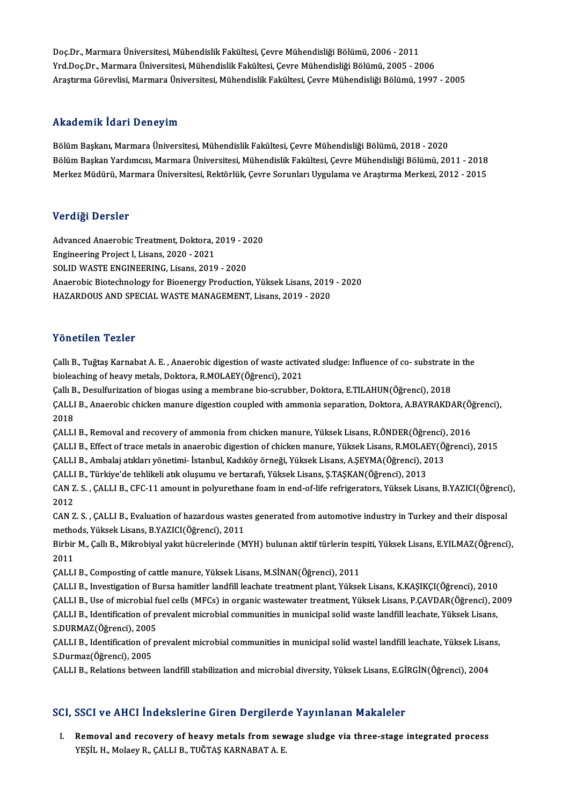Doç.Dr.,MarmaraÜniversitesi,MühendislikFakültesi,ÇevreMühendisliğiBölümü,2006 -2011 Yrd.Doç.Dr.,MarmaraÜniversitesi,MühendislikFakültesi,ÇevreMühendisliğiBölümü,2005 -2006 AraştırmaGörevlisi,MarmaraÜniversitesi,MühendislikFakültesi,ÇevreMühendisliğiBölümü,1997 -2005

## Akademik İdari Deneyim

Bölüm Başkanı, Marmara Üniversitesi, Mühendislik Fakültesi, Çevre Mühendisliği Bölümü, 2018 - 2020 rındu olirin ruuri Donoy'ını<br>Bölüm Başkanı, Marmara Üniversitesi, Mühendislik Fakültesi, Çevre Mühendisliği Bölümü, 2018 - 2020<br>Bölüm Başkan Yardımcısı, Marmara Üniversitesi, Mühendislik Fakültesi, Çevre Mühendisliği Bölüm Bölüm Başkanı, Marmara Üniversitesi, Mühendislik Fakültesi, Çevre Mühendisliği Bölümü, 2018 - 2020<br>Bölüm Başkan Yardımcısı, Marmara Üniversitesi, Mühendislik Fakültesi, Çevre Mühendisliği Bölümü, 2011 - 2018<br>Merkez Müdürü, Merkez Müdürü, Marmara Üniversitesi, Rektörlük, Çevre Sorunları Uygulama ve Araştırma Merkezi, 2012 - 2015<br>Verdiği Dersler

AdvancedAnaerobicTreatment,Doktora,2019 -2020 er erge Derbier<br>Advanced Anaerobic Treatment, Doktora, 2<br>Engineering Project I, Lisans, 2020 - 2021<br>SOLID WASTE ENCINEERING, Lisans, 2010 Advanced Anaerobic Treatment, Doktora, 2019 - 2<br>Engineering Project I, Lisans, 2020 - 2021<br>SOLID WASTE ENGINEERING, Lisans, 2019 - 2020<br>Anaerobie Bietechnology for Biegnergy Broduction Engineering Project I, Lisans, 2020 - 2021<br>SOLID WASTE ENGINEERING, Lisans, 2019 - 2020<br>Anaerobic Biotechnology for Bioenergy Production, Yüksek Lisans, 2019 - 2020<br>HAZARDOUS AND SPECIAL WASTE MANACEMENT Lisans, 2019 - 202 SOLID WASTE ENGINEERING, Lisans, 2019 - 2020<br>Anaerobic Biotechnology for Bioenergy Production, Yüksek Lisans, 2019<br>HAZARDOUS AND SPECIAL WASTE MANAGEMENT, Lisans, 2019 - 2020 HAZARDOUS AND SPECIAL WASTE MANAGEMENT, Lisans, 2019 - 2020<br>Yönetilen Tezler

Yönetilen Tezler<br>Çallı B., Tuğtaş Karnabat A. E. , Anaerobic digestion of waste activated sludge: Influence of co- substrate in the<br>hieleashing of beevy metals, Delttora, B.MOLAEV(Öğrensi), 2021 1 Oncenen 1 oznen<br>Çallı B., Tuğtaş Karnabat A. E. , Anaerobic digestion of waste activa<br>bioleaching of heavy metals, Doktora, R.MOLAEY(Öğrenci), 2021<br>Callı B. Dosulfurization of biogas using a mambrana bio serubbar Çallı B., Tuğtaş Karnabat A. E. , Anaerobic digestion of waste activated sludge: Influence of co- substrate<br>bioleaching of heavy metals, Doktora, R.MOLAEY(Öğrenci), 2021<br>Çallı B., Desulfurization of biogas using a membrane bioleaching of heavy metals, Doktora, R.MOLAEY(Öğrenci), 2021<br>Çallı B., Desulfurization of biogas using a membrane bio-scrubber, Doktora, E.TILAHUN(Öğrenci), 2018<br>ÇALLI B., Anaerobic chicken manure digestion coupled with a Callı B., Desulfurization of biogas using a membrane bio-scrubber, Doktora, E.TILAHUN(Öğrenci), 2018<br>CALLI B., Anaerobic chicken manure digestion coupled with ammonia separation, Doktora, A.BAYRAKDAR(Ö<br>2018<br>CALLI B., Remov ÇALLI B., Anaerobic chicken manure digestion coupled with ammonia separation, Doktora, A.BAYRAKDAR(Ö)<br>2018<br>ÇALLI B., Removal and recovery of ammonia from chicken manure, Yüksek Lisans, R.ÖNDER(Öğrenci), 2016<br>CALLI B., Remo 2018<br>ÇALLI B., Removal and recovery of ammonia from chicken manure, Yüksek Lisans, R.ÖNDER(Öğrenci), 2016<br>ÇALLI B., Effect of trace metals in anaerobic digestion of chicken manure, Yüksek Lisans, R.MOLAEY(Öğrenci), 2015<br>CA ÇALLI B., Removal and recovery of ammonia from chicken manure, Yüksek Lisans, R.ÖNDER(Öğrenci)<br>ÇALLI B., Effect of trace metals in anaerobic digestion of chicken manure, Yüksek Lisans, R.MOLAEY(Ö;<br>ÇALLI B., Ambalaj atıklar ÇALLI B., Effect of trace metals in anaerobic digestion of chicken manure, Yüksek Lisans, R.MOLAE<br>ÇALLI B., Ambalaj atıkları yönetimi- İstanbul, Kadıköy örneği, Yüksek Lisans, A.ŞEYMA(Öğrenci), 2<br>ÇALLI B., Türkiye'de tehli ÇALLI B., Ambalaj atıkları yönetimi- İstanbul, Kadıköy örneği, Yüksek Lisans, A.ŞEYMA(Öğrenci), 2013<br>ÇALLI B., Türkiye'de tehlikeli atık oluşumu ve bertarafı, Yüksek Lisans, Ş.TAŞKAN(Öğrenci), 2013<br>CAN Z. S. , ÇALLI B., CF ÇALLI B., Türkiye'de tehlikeli atık oluşumu ve bertarafı, Yüksek Lisans, Ş.TAŞKAN(Öğrenci), 2013 CAN Z. S. , ÇALLI B., CFC-11 amount in polyurethane foam in end-of-life refrigerators, Yüksek Lisans, B.YAZICI(Öğrenci<br>2012<br>CAN Z. S. , ÇALLI B., Evaluation of hazardous wastes generated from automotive industry in Turkey 2012<br>CAN Z. S. , ÇALLI B., Evaluation of hazardous waste<br>methods, Yüksek Lisans, B.YAZICI(Öğrenci), 2011<br>Birbir M. Callı B. Mikrobiyal valat bücrelerinde (M CAN Z. S. , ÇALLI B., Evaluation of hazardous wastes generated from automotive industry in Turkey and their disposal<br>methods, Yüksek Lisans, B.YAZICI(Öğrenci), 2011<br>Birbir M., Çallı B., Mikrobiyal yakıt hücrelerinde (MYH) methods, Yüksek Lisans, B.YAZICI(Öğrenci), 2011<br>Birbir M., Çallı B., Mikrobiyal yakıt hücrelerinde (MYH) bulunan aktif türlerin tespiti, Yüksek Lisans, E.YILMAZ(Öğrenci),<br>2011 ÇALLI B., Composting of cattle manure, Yüksek Lisans, M.SİNAN(Öğrenci), 2011 ÇALLIB., InvestigationofBursa hamitler landfil leachate treatmentplant,YüksekLisans,K.KAŞIKÇI(Öğrenci),2010 ÇALLI B., Composting of cattle manure, Yüksek Lisans, M.SİNAN(Öğrenci), 2011<br>ÇALLI B., Investigation of Bursa hamitler landfill leachate treatment plant, Yüksek Lisans, K.KAŞIKÇI(Öğrenci), 2010<br>ÇALLI B., Use of microbial f ÇALLI B., Investigation of Bursa hamitler landfill leachate treatment plant, Yüksek Lisans, K.KAŞIKÇI(Öğrenci), 2010<br>ÇALLI B., Use of microbial fuel cells (MFCs) in organic wastewater treatment, Yüksek Lisans, P.ÇAVDAR(Öğr CALLI B., Use of microbial f<br>CALLI B., Identification of p<br>S.DURMAZ(Öğrenci), 2005<br>CALLLB. Identification of n ÇALLI B., Identification of prevalent microbial communities in municipal solid waste landfill leachate, Yüksek Lisans,<br>S.DURMAZ(Öğrenci), 2005<br>ÇALLI B., Identification of prevalent microbial communities in municipal solid S.DURMAZ(Öğrenci), 2005<br>ÇALLI B., Identification of <sub>J</sub><br>S.Durmaz(Öğrenci), 2005<br>CALLLE, Rektions betyse ÇALLI B., Identification of prevalent microbial communities in municipal solid wastel landfill leachate, Yüksek Lisar<br>S.Durmaz(Öğrenci), 2005<br>ÇALLI B., Relations between landfill stabilization and microbial diversity, Yüks

# ÇALLI B., Relations between landfill stabilization and microbial diversity, Yüksek Lisans, E.GİRGİN(Öğrenci), 2004<br>SCI, SSCI ve AHCI İndekslerine Giren Dergilerde Yayınlanan Makaleler

CI, SSCI ve AHCI İndekslerine Giren Dergilerde Yayınlanan Makaleler<br>I. Removal and recovery of heavy metals from sewage sludge via three-stage integrated process<br>VESU H. Molaque, CALLLE, TUČTAS KARNARATA, E YEŞİL H., Molaey R., ÇALLI B., TUĞTAŞ KARNABAT A. E.<br>YEŞİL H., Molaey R., ÇALLI B., TUĞTAŞ KARNABAT A. E.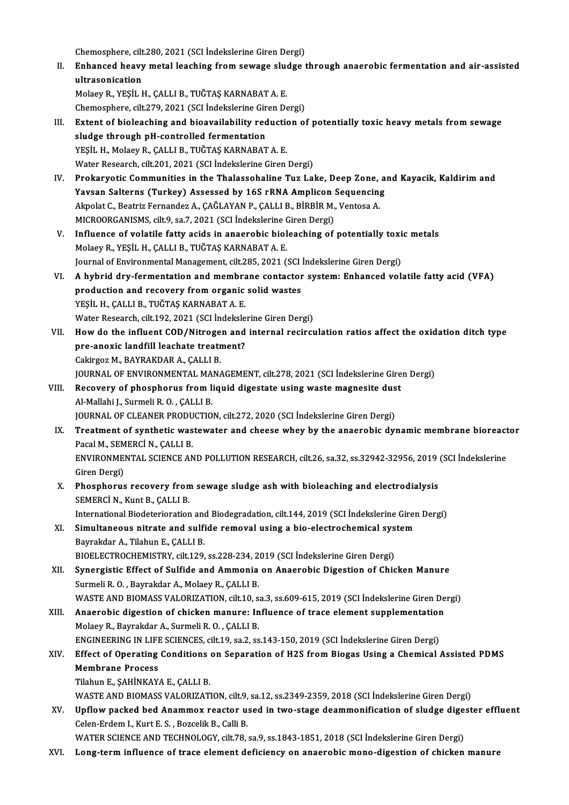Chemosphere, cilt.280, 2021 (SCI İndekslerine Giren Dergi)<br>Enhansed besuu metal leashing from seurase sludge i

II. Enhanced heavy metal leaching from sewage sludge through anaerobic fermentation and air-assisted<br>ultrasonication Chemosphere, cilt<br>Enhanced heavy<br>ultrasonication<br>Melaev P. VESİLL ultrasonication<br>Molaey R., YEŞİL H., ÇALLI B., TUĞTAŞ KARNABAT A. E.<br>Chemosphere, cilt.279, 2021 (SCI İndekslerine Giren Dergi)<br>Extent of bioloaching and bioavailability reduction ol

MolaeyR.,YEŞİLH.,ÇALLIB.,TUĞTAŞKARNABATA.E.

- III. Extent of bioleaching and bioavailability reduction of potentially toxic heavy metals from sewage sludge through pH-controlled fermentation Chemosphere, cilt.279, 2021 (SCI İndekslerine Gir<br>Extent of bioleaching and bioavailability red<br>sludge through pH-controlled fermentation<br>VESU H. Molagy B. CALLLE, TUČTAS KARNARAT YEŞİL H., Molaey R., ÇALLI B., TUĞTAŞ KARNABAT A. E. Water Research, cilt.201, 2021 (SCI İndekslerine Giren Dergi)
- YEŞİL H., Molaey R., ÇALLI B., TUĞTAŞ KARNABAT A. E.<br>Water Research, cilt.201, 2021 (SCI İndekslerine Giren Dergi)<br>IV. Prokaryotic Communities in the Thalassohaline Tuz Lake, Deep Zone, and Kayacik, Kaldirim and<br>Vayaan Sal Water Research, cilt.201, 2021 (SCI İndekslerine Giren Dergi)<br>Prokaryotic Communities in the Thalassohaline Tuz Lake, Deep Zone, a<br>Yavsan Salterns (Turkey) Assessed by 16S rRNA Amplicon Sequencing<br>Almekt G. Bestrir Fernand Prokaryotic Communities in the Thalassohaline Tuz Lake, Deep Zone,<br>Yavsan Salterns (Turkey) Assessed by 16S rRNA Amplicon Sequencing<br>Akpolat C., Beatriz Fernandez A., ÇAĞLAYAN P., ÇALLI B., BİRBİR M., Ventosa A.<br>MICPOOPCAN Yavsan Salterns (Turkey) Assessed by 16S rRNA Amplicon Sequencing<br>Akpolat C., Beatriz Fernandez A., ÇAĞLAYAN P., ÇALLI B., BİRBİR M., Ventosa A.<br>MICROORGANISMS, cilt.9, sa.7, 2021 (SCI İndekslerine Giren Dergi) Akpolat C., Beatriz Fernandez A., ÇAĞLAYAN P., ÇALLI B., BİRBİR M., Ventosa A.<br>MICROORGANISMS, cilt.9, sa.7, 2021 (SCI İndekslerine Giren Dergi)<br>V. Influence of volatile fatty acids in anaerobic bioleaching of potentially
- MICROORGANISMS, cilt.9, sa.7, 2021 (SCI İndekslerine C<br>Influence of volatile fatty acids in anaerobic biol<br>Molaey R., YEŞİL H., ÇALLI B., TUĞTAŞ KARNABAT A. E.<br>Journal of Environmental Manazement, cilt.295, 2021 ( Influence of volatile fatty acids in anaerobic bioleaching of potentially toxi<br>Molaey R., YEŞİL H., ÇALLI B., TUĞTAŞ KARNABAT A. E.<br>Journal of Environmental Management, cilt.285, 2021 (SCI İndekslerine Giren Dergi)<br>A hybri Molaey R., YEŞİL H., ÇALLI B., TUĞTAŞ KARNABAT A. E.<br>Journal of Environmental Management, cilt.285, 2021 (SCI İndekslerine Giren Dergi)<br>VI. A hybrid dry-fermentation and membrane contactor system: Enhanced volatile fat
- Journal of Environmental Management, cilt.285, 2021 (SCI İndekslerine Giren Dergi)<br>A hybrid dry-fermentation and membrane contactor system: Enhanced vol<br>production and recovery from organic solid wastes<br>YESİL H., CALLI B., A hybrid dry-fermentation and membra<br>production and recovery from organic<br>YEŞİL H., ÇALLI B., TUĞTAŞ KARNABAT A. E.<br>Watar Bassarah, silt 192, 2021 (SCLİndelizle production and recovery from organic solid wastes<br>YEŞİL H., ÇALLI B., TUĞTAŞ KARNABAT A. E.<br>Water Research, cilt.192, 2021 (SCI İndekslerine Giren Dergi)<br>How de the influent COD (Nitregen and internal negiren
- VII. How do the influent COD/Nitrogen and internal recirculation ratios affect the oxidation ditch type pre-anoxic landfill leachate treatment? Water Research, cilt.192, 2021 (SCI İndeksle<br>How do the influent COD/Nitrogen and<br>pre-anoxic landfill leachate treatment?<br>Cekirgez M. BAYBAKDAB A. CALLLB Cakirgoz M., BAYRAKDAR A., ÇALLI B. pre-anoxic landfill leachate treatment?<br>Cakirgoz M., BAYRAKDAR A., ÇALLI B.<br>JOURNAL OF ENVIRONMENTAL MANAGEMENT, cilt.278, 2021 (SCI İndekslerine Giren Dergi)<br>Besevery of phespherus from liquid disestate using waste magnes Cakirgoz M., BAYRAKDAR A., ÇALLI B.<br>JOURNAL OF ENVIRONMENTAL MANAGEMENT, cilt.278, 2021 (SCI İndekslerine Gire<br>VIII. Recovery of phosphorus from liquid digestate using waste magnesite dust
- **JOURNAL OF ENVIRONMENTAL MA<br>Recovery of phosphorus from l**:<br>Al-Mallahi J., Surmeli R. O. , ÇALLI B.<br>JOUPNAL OE CLEANER PRODUCTIO VIII. Recovery of phosphorus from liquid digestate using waste magnesite dust<br>Al-Mallahi J., Surmeli R. O., ÇALLI B.<br>JOURNAL OF CLEANER PRODUCTION, cilt.272, 2020 (SCI İndekslerine Giren Dergi) Al-Mallahi J., Surmeli R. O. , ÇALLI B.<br>JOURNAL OF CLEANER PRODUCTION, cilt.272, 2020 (SCI İndekslerine Giren Dergi)<br>IX. Treatment of synthetic wastewater and cheese whey by the anaerobic dynamic membrane bioreactor<br>Ra
	- **JOURNAL OF CLEANER PRODU<br>Treatment of synthetic was<br>Pacal M., SEMERCÌ N., ÇALLI B.<br>ENVIRONMENTAL SCIENCE AN** Treatment of synthetic wastewater and cheese whey by the anaerobic dynamic membrane bioreact<br>Pacal M., SEMERCİ N., ÇALLI B.<br>ENVIRONMENTAL SCIENCE AND POLLUTION RESEARCH, cilt.26, sa.32, ss.32942-32956, 2019 (SCI İndeksleri Pacal M., SEM<br>ENVIRONME<br>Giren Dergi)<br>Phoenhouus ENVIRONMENTAL SCIENCE AND POLLUTION RESEARCH, cilt.26, sa.32, ss.32942-32956, 2019<br>Giren Dergi)<br>X. Phosphorus recovery from sewage sludge ash with bioleaching and electrodialysis<br>SEMERCI N. Kunt B. CALLLE
	- Giren Dergi)<br><mark>Phosphorus recovery from</mark><br>SEMERCİ N., Kunt B., ÇALLI B.<br>International Biodeterioration Phosphorus recovery from sewage sludge ash with bioleaching and electrodialysis<br>SEMERCI N., Kunt B., ÇALLI B.<br>International Biodeterioration and Biodegradation, cilt.144, 2019 (SCI İndekslerine Giren Dergi)<br>Simultaneous ni
		-
- SEMERCİ N., Kunt B., ÇALLI B.<br>International Biodeterioration and Biodegradation, cilt.144, 2019 (SCI İndekslerine Girer<br>XI. Simultaneous nitrate and sulfide removal using a bio-electrochemical system<br>Baynalidar A. Tilabun International Biodeterioration and<br>Simultaneous nitrate and sulfi<br>Bayrakdar A., Tilahun E., ÇALLI B.<br>BIOELECTROCHEMISTRY silt 120 Simultaneous nitrate and sulfide removal using a bio-electrochemical sys<br>Bayrakdar A., Tilahun E., ÇALLI B.<br>BIOELECTROCHEMISTRY, cilt.129, ss.228-234, 2019 (SCI İndekslerine Giren Dergi)<br>Synargistis Effect of Sulfide and A Bayrakdar A., Tilahun E., ÇALLI B.<br>BIOELECTROCHEMISTRY, cilt.129, ss.228-234, 2019 (SCI İndekslerine Giren Dergi)<br>XII. Synergistic Effect of Sulfide and Ammonia on Anaerobic Digestion of Chicken Manure<br>Surmeli B.O. Bayrakd
- BIOELECTROCHEMISTRY, cilt.129, ss.228-234, 2019 (SCI Indekslerine Giren Dergi)<br>Synergistic Effect of Sulfide and Ammonia on Anaerobic Digestion of Chicken Manure<br>Surmeli R. O. , Bayrakdar A., Molaey R., ÇALLI B.<br>WASTE AND Synergistic Effect of Sulfide and Ammonia on Anaerobic Digestion of Chicken Manure<br>Surmeli R. O. , Bayrakdar A., Molaey R., ÇALLI B.<br>WASTE AND BIOMASS VALORIZATION, cilt.10, sa.3, ss.609-615, 2019 (SCI İndekslerine Giren D Surmeli R. O. , Bayrakdar A., Molaey R., ÇALLI B.<br>WASTE AND BIOMASS VALORIZATION, cilt.10, sa.3, ss.609-615, 2019 (SCI İndekslerine Giren De<br>XIII. Anaerobic digestion of chicken manure: Influence of trace element supplemen
- WASTE AND BIOMASS VALORIZATION, cilt.10, s.<br>Anaerobic digestion of chicken manure: In<br>Molaey R., Bayrakdar A., Surmeli R. O. , ÇALLI B.<br>ENCINEERING IN LIEE SCIENCES .silt 10, se 3, se Anaerobic digestion of chicken manure: Influence of trace element supplementation<br>Molaey R., Bayrakdar A., Surmeli R. O. , ÇALLI B.<br>ENGINEERING IN LIFE SCIENCES, cilt.19, sa.2, ss.143-150, 2019 (SCI İndekslerine Giren Derg

## Molaey R., Bayrakdar A., Surmeli R. O. , ÇALLI B.<br>ENGINEERING IN LIFE SCIENCES, cilt.19, sa.2, ss.143-150, 2019 (SCI İndekslerine Giren Dergi)<br>XIV. Effect of Operating Conditions on Separation of H2S from Biogas Using ENGINEERING IN LIFE SCIENCES, cilt.19, sa.2, ss.143-150, 2019 (SCI Indekslerine Giren Dergi)<br>Effect of Operating Conditions on Separation of H2S from Biogas Using a Chemical<br>Membrane Process<br>Tilahun E., SAHINKAYA E., CALLI Effect of Operating Conditions<br>Membrane Process<br>Tilahun E., ŞAHİNKAYA E., ÇALLI B.<br>WASTE AND PIOMASS VALOPIZATI Membrane Process<br>Tilahun E., ŞAHİNKAYA E., ÇALLI B.<br>WASTE AND BIOMASS VALORIZATION, cilt.9, sa.12, ss.2349-2359, 2018 (SCI İndekslerine Giren Dergi)<br>Unflow nasked hed Anammay reaster used in two stase deammanifisation of s

- Tilahun E., ŞAHİNKAYA E., ÇALLI B.<br>WASTE AND BIOMASS VALORIZATION, cilt.9, sa.12, ss.2349-2359, 2018 (SCI İndekslerine Giren Dergi)<br>XV. Upflow packed bed Anammox reactor used in two-stage deammonification of sludge dig WASTE AND BIOMASS VALORIZATION, cilt.9,<br>Upflow packed bed Anammox reactor us<br>Celen-Erdem I., Kurt E. S. , Bozcelik B., Calli B.<br>WATER SCIENCE AND TECUNOLOCY, silt 79 Upflow packed bed Anammox reactor used in two-stage deammonification of sludge dige:<br>Celen-Erdem I., Kurt E. S. , Bozcelik B., Calli B.<br>WATER SCIENCE AND TECHNOLOGY, cilt.78, sa.9, ss.1843-1851, 2018 (SCI İndekslerine Gire Celen-Erdem I., Kurt E. S. , Bozcelik B., Calli B.<br>WATER SCIENCE AND TECHNOLOGY, cilt.78, sa.9, ss.1843-1851, 2018 (SCI İndekslerine Giren Dergi)<br>XVI. Long-term influence of trace element deficiency on anaerobic mono-d
-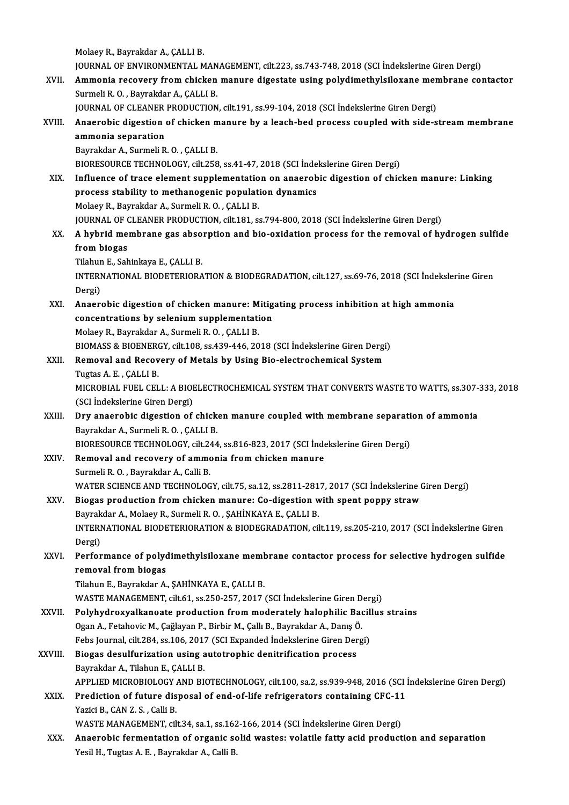MolaeyR.,BayrakdarA.,ÇALLIB.

JOURNAL OF ENVIRONMENTAL MANAGEMENT, cilt.223, ss.743-748, 2018 (SCI İndekslerine Giren Dergi)

Molaey R., Bayrakdar A., ÇALLI B.<br>JOURNAL OF ENVIRONMENTAL MANAGEMENT, cilt.223, ss.743-748, 2018 (SCI İndekslerine Giren Dergi)<br>XVII. Ammonia recovery from chicken manure digestate using polydimethylsiloxane membrane JOURNAL OF ENVIRONMENTAL MAN<br><mark>Ammonia recovery from chicken</mark><br>Surmeli R. O. , Bayrakdar A., ÇALLI B.<br>JOUPNAL OF CLEANER PRODUCTION Ammonia recovery from chicken manure digestate using polydimethylsiloxane men<br>Surmeli R. O. , Bayrakdar A., ÇALLI B.<br>JOURNAL OF CLEANER PRODUCTION, cilt.191, ss.99-104, 2018 (SCI İndekslerine Giren Dergi)<br>Anaerebis digesti Surmeli R. O. , Bayrakdar A., ÇALLI B.<br>JOURNAL OF CLEANER PRODUCTION, cilt.191, ss.99-104, 2018 (SCI İndekslerine Giren Dergi)<br>XVIII. Anaerobic digestion of chicken manure by a leach-bed process coupled with side-strea

JOURNAL OF CLEANER PRODUCTION, cilt.191, ss.99-104, 2018 (SCI İndekslerine Giren Dergi)

| XVIII.  | Anaerobic digestion of chicken manure by a leach-bed process coupled with side-stream membrane          |
|---------|---------------------------------------------------------------------------------------------------------|
|         | ammonia separation                                                                                      |
|         | Bayrakdar A., Surmeli R. O., ÇALLI B.                                                                   |
|         | BIORESOURCE TECHNOLOGY, cilt.258, ss.41-47, 2018 (SCI Indekslerine Giren Dergi)                         |
| XIX.    | Influence of trace element supplementation on anaerobic digestion of chicken manure: Linking            |
|         | process stability to methanogenic population dynamics                                                   |
|         | Molaey R., Bayrakdar A., Surmeli R. O., ÇALLI B.                                                        |
|         | JOURNAL OF CLEANER PRODUCTION, cilt.181, ss.794-800, 2018 (SCI İndekslerine Giren Dergi)                |
| XX.     | A hybrid membrane gas absorption and bio-oxidation process for the removal of hydrogen sulfide          |
|         | from biogas                                                                                             |
|         | Tilahun E., Sahinkaya E., ÇALLI B.                                                                      |
|         | INTERNATIONAL BIODETERIORATION & BIODEGRADATION, cilt.127, ss.69-76, 2018 (SCI Indekslerine Giren       |
|         | Dergi)                                                                                                  |
| XXI.    | Anaerobic digestion of chicken manure: Mitigating process inhibition at high ammonia                    |
|         | concentrations by selenium supplementation                                                              |
|         | Molaey R., Bayrakdar A., Surmeli R. O., CALLI B.                                                        |
|         | BIOMASS & BIOENERGY, cilt.108, ss.439-446, 2018 (SCI İndekslerine Giren Dergi)                          |
| XXII.   | Removal and Recovery of Metals by Using Bio-electrochemical System                                      |
|         | Tugtas A. E., CALLI B.                                                                                  |
|         | MICROBIAL FUEL CELL: A BIOELECTROCHEMICAL SYSTEM THAT CONVERTS WASTE TO WATTS, ss.307-333, 2018         |
|         | (SCI İndekslerine Giren Dergi)                                                                          |
| XXIII.  | Dry anaerobic digestion of chicken manure coupled with membrane separation of ammonia                   |
|         | Bayrakdar A., Surmeli R. O., CALLI B.                                                                   |
|         | BIORESOURCE TECHNOLOGY, cilt.244, ss.816-823, 2017 (SCI İndekslerine Giren Dergi)                       |
| XXIV.   | Removal and recovery of ammonia from chicken manure                                                     |
|         | Surmeli R. O., Bayrakdar A., Calli B.                                                                   |
|         | WATER SCIENCE AND TECHNOLOGY, cilt75, sa.12, ss.2811-2817, 2017 (SCI İndekslerine Giren Dergi)          |
| XXV.    | Biogas production from chicken manure: Co-digestion with spent poppy straw                              |
|         | Bayrakdar A., Molaey R., Surmeli R. O., ŞAHİNKAYA E., ÇALLI B.                                          |
|         | INTERNATIONAL BIODETERIORATION & BIODEGRADATION, cilt.119, ss.205-210, 2017 (SCI Indekslerine Giren     |
|         | Dergi)                                                                                                  |
| XXVI.   | Performance of polydimethylsiloxane membrane contactor process for selective hydrogen sulfide           |
|         | removal from biogas                                                                                     |
|         | Tilahun E., Bayrakdar A., ŞAHİNKAYA E., ÇALLI B.                                                        |
|         | WASTE MANAGEMENT, cilt.61, ss.250-257, 2017 (SCI İndekslerine Giren Dergi)                              |
| XXVII.  | Polyhydroxyalkanoate production from moderately halophilic Bacillus strains                             |
|         | Ogan A., Fetahovic M., Çağlayan P., Birbir M., Çallı B., Bayrakdar A., Danış Ö.                         |
|         | Febs Journal, cilt.284, ss.106, 2017 (SCI Expanded İndekslerine Giren Dergi)                            |
| XXVIII. | Biogas desulfurization using autotrophic denitrification process                                        |
|         | Bayrakdar A., Tilahun E., ÇALLI B.                                                                      |
|         | APPLIED MICROBIOLOGY AND BIOTECHNOLOGY, cilt.100, sa.2, ss.939-948, 2016 (SCI İndekslerine Giren Dergi) |
| XXIX.   | Prediction of future disposal of end-of-life refrigerators containing CFC-11                            |
|         | Yazici B., CAN Z. S., Calli B.                                                                          |
|         | WASTE MANAGEMENT, cilt.34, sa.1, ss.162-166, 2014 (SCI İndekslerine Giren Dergi)                        |
| XXX.    | Anaerobic fermentation of organic solid wastes: volatile fatty acid production and separation           |
|         | Yesil H., Tugtas A. E., Bayrakdar A., Calli B.                                                          |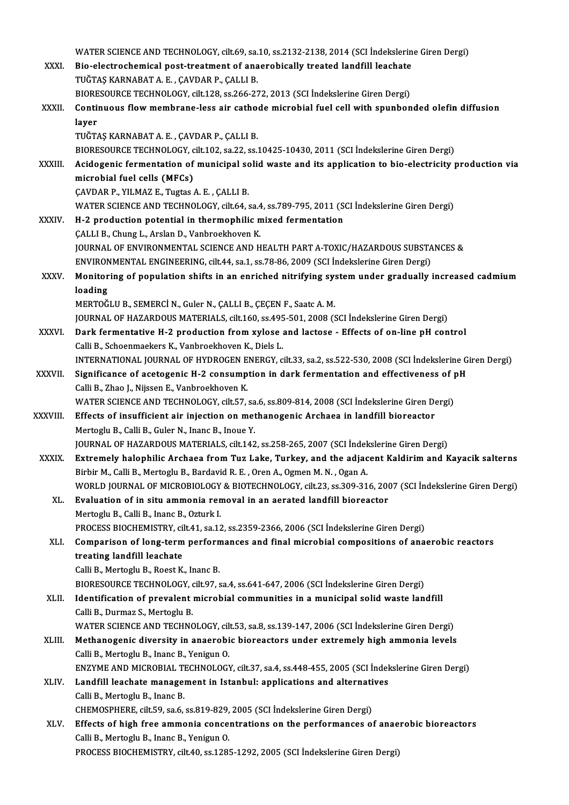|               | WATER SCIENCE AND TECHNOLOGY, cilt.69, sa.10, ss.2132-2138, 2014 (SCI İndekslerine Giren Dergi)                                                                                        |
|---------------|----------------------------------------------------------------------------------------------------------------------------------------------------------------------------------------|
| XXXI.         | Bio-electrochemical post-treatment of anaerobically treated landfill leachate                                                                                                          |
|               | TUĞTAŞ KARNABAT A. E., ÇAVDAR P., ÇALLI B.                                                                                                                                             |
|               | BIORESOURCE TECHNOLOGY, cilt.128, ss.266-272, 2013 (SCI İndekslerine Giren Dergi)                                                                                                      |
| XXXII.        | Continuous flow membrane-less air cathode microbial fuel cell with spunbonded olefin diffusion                                                                                         |
|               | layer                                                                                                                                                                                  |
|               | TUĞTAŞ KARNABAT A. E., ÇAVDAR P., ÇALLI B.                                                                                                                                             |
|               | BIORESOURCE TECHNOLOGY, cilt.102, sa.22, ss.10425-10430, 2011 (SCI İndekslerine Giren Dergi)                                                                                           |
| <b>XXXIII</b> | Acidogenic fermentation of municipal solid waste and its application to bio-electricity production via                                                                                 |
|               | microbial fuel cells (MFCs)                                                                                                                                                            |
|               | ÇAVDAR P., YILMAZ E., Tugtas A. E., ÇALLI B.                                                                                                                                           |
|               | WATER SCIENCE AND TECHNOLOGY, cilt.64, sa.4, ss.789-795, 2011 (SCI Indekslerine Giren Dergi)                                                                                           |
| <b>XXXIV</b>  | H-2 production potential in thermophilic mixed fermentation                                                                                                                            |
|               | ÇALLI B., Chung L., Arslan D., Vanbroekhoven K.                                                                                                                                        |
|               | JOURNAL OF ENVIRONMENTAL SCIENCE AND HEALTH PART A-TOXIC/HAZARDOUS SUBSTANCES &                                                                                                        |
|               | ENVIRONMENTAL ENGINEERING, cilt.44, sa.1, ss.78-86, 2009 (SCI Indekslerine Giren Dergi)                                                                                                |
| <b>XXXV</b>   | Monitoring of population shifts in an enriched nitrifying system under gradually increased cadmium                                                                                     |
|               | loading                                                                                                                                                                                |
|               | MERTOĞLU B., SEMERCİ N., Guler N., ÇALLI B., ÇEÇEN F., Saatc A. M.<br>JOURNAL OF HAZARDOUS MATERIALS, cilt.160, ss.495-501, 2008 (SCI Indekslerine Giren Dergi)                        |
| XXXVI.        | Dark fermentative H-2 production from xylose and lactose - Effects of on-line pH control                                                                                               |
|               | Calli B., Schoenmaekers K., Vanbroekhoven K., Diels L.                                                                                                                                 |
|               | INTERNATIONAL JOURNAL OF HYDROGEN ENERGY, cilt.33, sa.2, ss.522-530, 2008 (SCI Indekslerine Giren Dergi)                                                                               |
| <b>XXXVII</b> | Significance of acetogenic H-2 consumption in dark fermentation and effectiveness of pH                                                                                                |
|               | Calli B., Zhao J., Nijssen E., Vanbroekhoven K.                                                                                                                                        |
|               | WATER SCIENCE AND TECHNOLOGY, cilt.57, sa.6, ss.809-814, 2008 (SCI İndekslerine Giren Dergi)                                                                                           |
| XXXVIII.      | Effects of insufficient air injection on methanogenic Archaea in landfill bioreactor                                                                                                   |
|               | Mertoglu B., Calli B., Guler N., Inanc B., Inoue Y.                                                                                                                                    |
|               | JOURNAL OF HAZARDOUS MATERIALS, cilt.142, ss.258-265, 2007 (SCI İndekslerine Giren Dergi)                                                                                              |
| <b>XXXIX</b>  | Extremely halophilic Archaea from Tuz Lake, Turkey, and the adjacent Kaldirim and Kayacik salterns                                                                                     |
|               | Birbir M., Calli B., Mertoglu B., Bardavid R. E., Oren A., Ogmen M. N., Ogan A.                                                                                                        |
|               | WORLD JOURNAL OF MICROBIOLOGY & BIOTECHNOLOGY, cilt.23, ss.309-316, 2007 (SCI İndekslerine Giren Dergi)                                                                                |
| XL.           | Evaluation of in situ ammonia removal in an aerated landfill bioreactor                                                                                                                |
|               | Mertoglu B., Calli B., Inanc B., Ozturk I.                                                                                                                                             |
| XLI.          | PROCESS BIOCHEMISTRY, cilt.41, sa.12, ss.2359-2366, 2006 (SCI İndekslerine Giren Dergi)<br>Comparison of long-term performances and final microbial compositions of anaerobic reactors |
|               | treating landfill leachate                                                                                                                                                             |
|               | Calli B., Mertoglu B., Roest K., Inanc B.                                                                                                                                              |
|               | BIORESOURCE TECHNOLOGY, cilt.97, sa.4, ss.641-647, 2006 (SCI Indekslerine Giren Dergi)                                                                                                 |
| XLII.         | Identification of prevalent microbial communities in a municipal solid waste landfill                                                                                                  |
|               | Calli B., Durmaz S., Mertoglu B.                                                                                                                                                       |
|               | WATER SCIENCE AND TECHNOLOGY, cilt.53, sa.8, ss.139-147, 2006 (SCI Indekslerine Giren Dergi)                                                                                           |
| XLIII.        | Methanogenic diversity in anaerobic bioreactors under extremely high ammonia levels                                                                                                    |
|               | Calli B., Mertoglu B., Inanc B., Yenigun O.                                                                                                                                            |
|               | ENZYME AND MICROBIAL TECHNOLOGY, cilt.37, sa.4, ss.448-455, 2005 (SCI İndekslerine Giren Dergi)                                                                                        |
| XLIV.         | Landfill leachate management in Istanbul: applications and alternatives                                                                                                                |
|               | Calli B., Mertoglu B., Inanc B.                                                                                                                                                        |
|               | CHEMOSPHERE, cilt.59, sa.6, ss.819-829, 2005 (SCI Indekslerine Giren Dergi)                                                                                                            |
| XLV.          | Effects of high free ammonia concentrations on the performances of anaerobic bioreactors                                                                                               |
|               | Calli B., Mertoglu B., Inanc B., Yenigun O.                                                                                                                                            |
|               | PROCESS BIOCHEMISTRY, cilt.40, ss.1285-1292, 2005 (SCI Indekslerine Giren Dergi)                                                                                                       |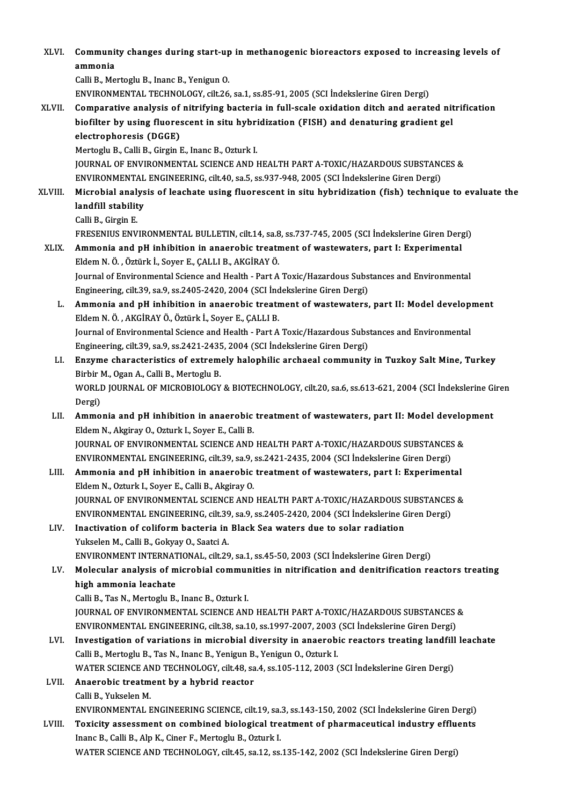| XLVI.       | Community changes during start-up in methanogenic bioreactors exposed to increasing levels of<br>ammonia                                                                   |
|-------------|----------------------------------------------------------------------------------------------------------------------------------------------------------------------------|
|             | Calli B., Mertoglu B., Inanc B., Yenigun O.                                                                                                                                |
|             | ENVIRONMENTAL TECHNOLOGY, cilt.26, sa.1, ss.85-91, 2005 (SCI Indekslerine Giren Dergi)                                                                                     |
| XLVII.      | Comparative analysis of nitrifying bacteria in full-scale oxidation ditch and aerated nitrification                                                                        |
|             | biofilter by using fluorescent in situ hybridization (FISH) and denaturing gradient gel                                                                                    |
|             | electrophoresis (DGGE)                                                                                                                                                     |
|             | Mertoglu B., Calli B., Girgin E., Inanc B., Ozturk I.                                                                                                                      |
|             | JOURNAL OF ENVIRONMENTAL SCIENCE AND HEALTH PART A-TOXIC/HAZARDOUS SUBSTANCES &                                                                                            |
| XLVIII.     | ENVIRONMENTAL ENGINEERING, cilt.40, sa.5, ss.937-948, 2005 (SCI İndekslerine Giren Dergi)                                                                                  |
|             | Microbial analysis of leachate using fluorescent in situ hybridization (fish) technique to evaluate the<br>landfill stability                                              |
|             | Calli B, Girgin E                                                                                                                                                          |
|             | FRESENIUS ENVIRONMENTAL BULLETIN, cilt.14, sa.8, ss.737-745, 2005 (SCI İndekslerine Giren Dergi)                                                                           |
| <b>XLIX</b> | Ammonia and pH inhibition in anaerobic treatment of wastewaters, part I: Experimental                                                                                      |
|             | Eldem N. Ö., Öztürk İ., Soyer E., ÇALLI B., AKGİRAY Ö.                                                                                                                     |
|             | Journal of Environmental Science and Health - Part A Toxic/Hazardous Substances and Environmental                                                                          |
|             | Engineering, cilt.39, sa.9, ss.2405-2420, 2004 (SCI İndekslerine Giren Dergi)                                                                                              |
| L.          | Ammonia and pH inhibition in anaerobic treatment of wastewaters, part II: Model development<br>Eldem N. Ö., AKGİRAY Ö., Öztürk İ., Soyer E., ÇALLI B.                      |
|             | Journal of Environmental Science and Health - Part A Toxic/Hazardous Substances and Environmental                                                                          |
|             | Engineering, cilt.39, sa.9, ss.2421-2435, 2004 (SCI Indekslerine Giren Dergi)                                                                                              |
| LI.         | Enzyme characteristics of extremely halophilic archaeal community in Tuzkoy Salt Mine, Turkey                                                                              |
|             | Birbir M., Ogan A., Calli B., Mertoglu B.                                                                                                                                  |
|             | WORLD JOURNAL OF MICROBIOLOGY & BIOTECHNOLOGY, cilt.20, sa.6, ss.613-621, 2004 (SCI İndekslerine Giren                                                                     |
| LII.        | Dergi)<br>Ammonia and pH inhibition in anaerobic treatment of wastewaters, part II: Model development                                                                      |
|             | Eldem N., Akgiray O., Ozturk I., Soyer E., Calli B.                                                                                                                        |
|             | JOURNAL OF ENVIRONMENTAL SCIENCE AND HEALTH PART A-TOXIC/HAZARDOUS SUBSTANCES &                                                                                            |
|             | ENVIRONMENTAL ENGINEERING, cilt.39, sa.9, ss.2421-2435, 2004 (SCI İndekslerine Giren Dergi)                                                                                |
| LIII.       | Ammonia and pH inhibition in anaerobic treatment of wastewaters, part I: Experimental                                                                                      |
|             | Eldem N., Ozturk I., Soyer E., Calli B., Akgiray O.                                                                                                                        |
|             | JOURNAL OF ENVIRONMENTAL SCIENCE AND HEALTH PART A-TOXIC/HAZARDOUS SUBSTANCES &                                                                                            |
|             | ENVIRONMENTAL ENGINEERING, cilt.39, sa.9, ss.2405-2420, 2004 (SCI İndekslerine Giren Dergi)                                                                                |
| LIV.        | Inactivation of coliform bacteria in Black Sea waters due to solar radiation                                                                                               |
|             | Yukselen M., Calli B., Gokyay O., Saatci A.                                                                                                                                |
|             | ENVIRONMENT INTERNATIONAL, cilt.29, sa.1, ss.45-50, 2003 (SCI Indekslerine Giren Dergi)                                                                                    |
| LV.         | Molecular analysis of microbial communities in nitrification and denitrification reactors treating                                                                         |
|             | high ammonia leachate                                                                                                                                                      |
|             | Calli B., Tas N., Mertoglu B., Inanc B., Ozturk I.                                                                                                                         |
|             | JOURNAL OF ENVIRONMENTAL SCIENCE AND HEALTH PART A-TOXIC/HAZARDOUS SUBSTANCES &                                                                                            |
|             | ENVIRONMENTAL ENGINEERING, cilt.38, sa.10, ss.1997-2007, 2003 (SCI İndekslerine Giren Dergi)                                                                               |
| LVI.        | Investigation of variations in microbial diversity in anaerobic reactors treating landfill leachate                                                                        |
|             | Calli B., Mertoglu B., Tas N., Inanc B., Yenigun B., Yenigun O., Ozturk I.<br>WATER SCIENCE AND TECHNOLOGY, cilt.48, sa.4, ss.105-112, 2003 (SCI İndekslerine Giren Dergi) |
| LVII.       | Anaerobic treatment by a hybrid reactor                                                                                                                                    |
|             | Calli B, Yukselen M.                                                                                                                                                       |
|             | ENVIRONMENTAL ENGINEERING SCIENCE, cilt.19, sa.3, ss.143-150, 2002 (SCI İndekslerine Giren Dergi)                                                                          |
| LVIII.      | Toxicity assessment on combined biological treatment of pharmaceutical industry effluents                                                                                  |
|             | Inanc B., Calli B., Alp K., Ciner F., Mertoglu B., Ozturk I.                                                                                                               |
|             | WATER SCIENCE AND TECHNOLOGY, cilt.45, sa.12, ss.135-142, 2002 (SCI Indekslerine Giren Dergi)                                                                              |
|             |                                                                                                                                                                            |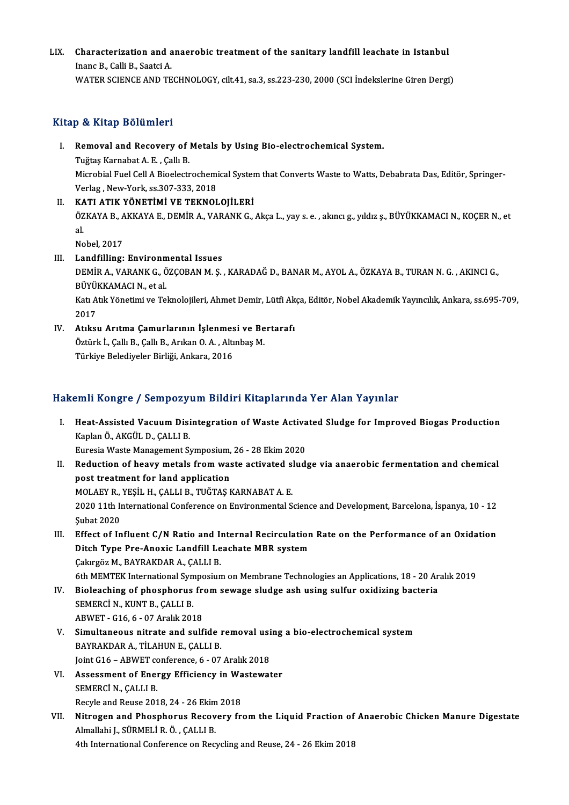## LIX. Characterization and anaerobic treatment of the sanitary landfil leachate in Istanbul Characterization and a<br>Inanc B., Calli B., Saatci A.<br>WATER SCIENCE AND TE

Inanc B., Calli B., Saatci A.<br>WATER SCIENCE AND TECHNOLOGY, cilt.41, sa.3, ss.223-230, 2000 (SCI İndekslerine Giren Dergi)

## Kitap & Kitap Bölümleri

Itap & Kitap Bölümleri<br>I. Removal and Recovery of Metals by Using Bio-electrochemical System.<br>Tuğtas Karnabat A.E. Callı B

Per Arrasp Borannor<br>Removal and Recovery of<br>Tuğtaş Karnabat A. E. , Çallı B.<br>Microbial Euel Cell A Bioolectr Tuğtaş Karnabat A. E. , Çallı B.<br>Microbial Fuel Cell A Bioelectrochemical System that Converts Waste to Watts, Debabrata Das, Editör, Springer-Verlag ,New-York, ss.307-333,2018

II. KATI ATIK YÖNETİMİ VE TEKNOLOJİLERİ Verlag , New-York, ss.307-333, 2018<br>**KATI ATIK YÖNETİMİ VE TEKNOLOJİLERİ**<br>ÖZKAYA B., AKKAYA E., DEMİR A., VARANK G., Akça L., yay s. e. , akıncı g., yıldız ş., BÜYÜKKAMACI N., KOÇER N., et KA<br>ÖZ<br>al. ÖZKAYA B., A<br>al.<br>Nobel, 2017<br>Landfilling: al.<br>Nobel, 2017<br>III. Landfilling: Environmental Issues

Nobel, 2017<br>Landfilling: Environmental Issues<br>DEMİR A., VARANK G., ÖZÇOBAN M. Ş. , KARADAĞ D., BANAR M., AYOL A., ÖZKAYA B., TURAN N. G. , AKINCI G.,<br>PÜVÜKKAMACI N. et al Landfilling: Environm<br>DEMİR A., VARANK G., Ö<br>BÜYÜKKAMACI N., et al.<br>Katı Atık Vönetimi ve To DEMİR A., VARANK G., ÖZÇOBAN M. Ş. , KARADAĞ D., BANAR M., AYOL A., ÖZKAYA B., TURAN N. G. , AKINCI G.,<br>BÜYÜKKAMACI N., et al.<br>Katı Atık Yönetimi ve Teknolojileri, Ahmet Demir, Lütfi Akça, Editör, Nobel Akademik Yayıncılık BÜYÜKKAMACI N., et al.<br>Katı Atık Yönetimi ve Teknolojileri, Ahmet Demir, Lütfi Akça, Editör, Nobel Akademik Yayıncılık, Ankara, ss.695-709,<br>2017

Katı Atık Yönetimi ve Teknolojileri, Ahmet Demir, Lütfi Ak<br>2017<br>IV. Atıksu Arıtma Çamurlarının İşlenmesi ve Bertarafı<br>Östürk İ. Callı B. Callı B. Arıkan Q. A. Altınbas M 2017<br>Atıksu Arıtma Çamurlarının İşlenmesi ve Be<br>Öztürk İ., Çallı B., Çallı B., Arıkan O. A. , Altınbaş M.<br>Türkiye Belediyeler Birliği, Ankara 2016 Atıksu Arıtma Çamurlarının İşlenmes<br>Öztürk İ., Çallı B., Çallı B., Arıkan O. A. , Altı<br>Türkiye Belediyeler Birliği, Ankara, 2016

# Türkiye Belediyeler Birliği, Ankara, 2016<br>Hakemli Kongre / Sempozyum Bildiri Kitaplarında Yer Alan Yayınlar

akemli Kongre / Sempozyum Bildiri Kitaplarında Yer Alan Yayınlar<br>I. Heat-Assisted Vacuum Disintegration of Waste Activated Sludge for Improved Biogas Production<br>Konka Ö. AKCÜLD CALLLE kari Kongre 7 Sempozy<br>Heat-Assisted Vacuum Disi<br>Kaplan Ö., AKGÜL D., ÇALLI B.<br>Eurosia Wasta Managament S Heat-Assisted Vacuum Disintegration of Waste Activa<br>Kaplan Ö., AKGÜL D., ÇALLI B.<br>Euresia Waste Management Symposium, 26 - 28 Ekim 2020<br>Pedustion of beauu matals from waste astivated slud: Kaplan Ö., AKGÜL D., ÇALLI B.<br>Euresia Waste Management Symposium, 26 - 28 Ekim 2020<br>II. Reduction of heavy metals from waste activated sludge via anaerobic fermentation and chemical<br>nest treatment for land annisation

- Euresia Waste Management Symposium,<br>Reduction of heavy metals from was<br>post treatment for land application<br>MOLAEV B. VESU H. CALLLE, TUČTAS L Reduction of heavy metals from waste activated s<br>post treatment for land application<br>MOLAEY R., YEŞİL H., ÇALLI B., TUĞTAŞ KARNABAT A. E.<br>2020 11th International Conference en Environmental S post treatment for land application<br>MOLAEY R., YEŞİL H., ÇALLI B., TUĞTAŞ KARNABAT A. E.<br>2020 11th International Conference on Environmental Science and Development, Barcelona, İspanya, 10 - 12<br>Subat 2020 MOLAEY R.,<br>2020 11th In<br>Şubat 2020<br>Effect of In 2020 11th International Conference on Environmental Science and Development, Barcelona, İspanya, 10 - 12<br>
Subat 2020<br>
III. Effect of Influent C/N Ratio and Internal Recirculation Rate on the Performance of an Oxidation<br>
Di
- Şubat 2020<br>Effect of Influent C/N Ratio and Internal Recirculation<br>Ditch Type Pre-Anoxic Landfill Leachate MBR system<br>Calurgës M, BAYRAKDAR A, CALLLR Effect of Influent C/N Ratio and I<br>Ditch Type Pre-Anoxic Landfill Le<br>Çakırgöz M., BAYRAKDAR A., ÇALLI B.<br>Eth MEMTEV International Sumposiun 11 Ditch Type Pre-Anoxic Landfill Leachate MBR system<br>Cakirgöz M., BAYRAKDAR A., CALLI B.<br>6th MEMTEK International Symposium on Membrane Technologies an Applications, 18 - 20 Aralık 2019
- Cakingöz M., BAYRAKDAR A., CALLI B.<br>6th MEMTEK International Symposium on Membrane Technologies an Applications, 18 20 Ar<br>IV. Bioleaching of phosphorus from sewage sludge ash using sulfur oxidizing bacteria<br>SEMERCI N. KU 6th MEMTEK International Syn<br>Bioleaching of phosphorus<br>SEMERCİ N., KUNT B., ÇALLI B.<br>APWET. C16.6., 07 Aralık 201 Bioleaching of phosphorus free<br>SEMERCI N., KUNT B., ÇALLI B.<br>ABWET - G16, 6 - 07 Aralık 2018<br>Simultaneous nitrate and sulf

- SEMERCİ N., KUNT B., ÇALLI B.<br>ABWET G16, 6 07 Aralık 2018<br>V. Simultaneous nitrate and sulfide removal using a bio-electrochemical system<br>RAVRAKDAR A. TU AHUN E. CALLLR ABWET - G16, 6 - 07 Aralık 2018<br>Simultaneous nitrate and sulfide ı<br>BAYRAKDAR A., TİLAHUN E., ÇALLI B.<br>Jaint C16. ABWET sonfaransa 6. 07 Simultaneous nitrate and sulfide removal usi<br>BAYRAKDAR A., TİLAHUN E., ÇALLI B.<br>Joint G16 – ABWET conference, 6 - 07 Aralık 2018<br>Assessment of Energy Efficiency in Mestewet BAYRAKDAR A., TİLAHUN E., ÇALLI B.<br>Joint G16 – ABWET conference, 6 - 07 Aralık 2018<br>VI. Assessment of Energy Efficiency in Wastewater<br>SEMERCI N. CALLLE
- Joint G16 ABWET co<br>Assessment of Ener<br>SEMERCİ N., ÇALLI B.<br>Begyle and Beyse 201 Assessment of Energy Efficiency in Wa<br>SEMERCI N., ÇALLI B.<br>Recyle and Reuse 2018, 24 - 26 Ekim 2018<br>Nitrogen and Phoenhouus Beceyery fr
- SEMERCİ N., ÇALLI B.<br>Recyle and Reuse 2018, 24 26 Ekim 2018<br>VII. Nitrogen and Phosphorus Recovery from the Liquid Fraction of Anaerobic Chicken Manure Digestate<br>Almellabi L. SÜPMELLE Ö., GALLLE Recyle and Reuse 2018, 24 - 26 Ekim<br>Nitrogen and Phosphorus Recov<br>Almallahi J., SÜRMELİ R. Ö. , ÇALLI B.<br>4th International Conference en Bec Nitrogen and Phosphorus Recovery from the Liquid Fraction of<br>Almallahi J., SÜRMELİ R. Ö. , ÇALLI B.<br>4th International Conference on Recycling and Reuse, 24 - 26 Ekim 2018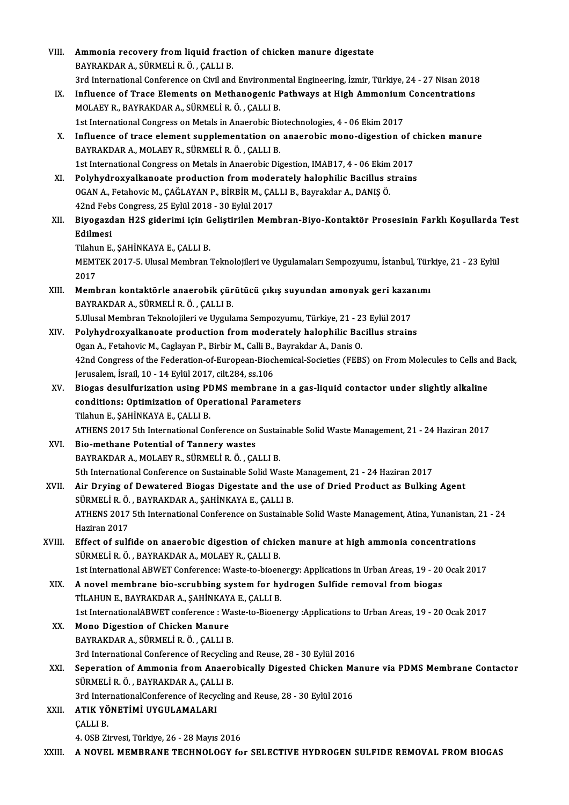| VIII.  | Ammonia recovery from liquid fraction of chicken manure digestate                                                                     |
|--------|---------------------------------------------------------------------------------------------------------------------------------------|
|        | BAYRAKDAR A., SÜRMELİ R. Ö., ÇALLI B.                                                                                                 |
|        | 3rd International Conference on Civil and Environmental Engineering, İzmir, Türkiye, 24 - 27 Nisan 2018                               |
| IX.    | Influence of Trace Elements on Methanogenic Pathways at High Ammonium Concentrations                                                  |
|        | MOLAEY R., BAYRAKDAR A., SÜRMELİ R. Ö., ÇALLI B.                                                                                      |
|        | 1st International Congress on Metals in Anaerobic Biotechnologies, 4 - 06 Ekim 2017                                                   |
| Χ.     | Influence of trace element supplementation on anaerobic mono-digestion of chicken manure                                              |
|        | BAYRAKDAR A., MOLAEY R., SÜRMELİ R. Ö., ÇALLI B.                                                                                      |
|        | 1st International Congress on Metals in Anaerobic Digestion, IMAB17, 4 - 06 Ekim 2017                                                 |
| XI.    | Polyhydroxyalkanoate production from moderately halophilic Bacillus strains                                                           |
|        | OGAN A., Fetahovic M., ÇAĞLAYAN P., BİRBİR M., ÇALLI B., Bayrakdar A., DANIŞ Ö.                                                       |
|        | 42nd Febs Congress, 25 Eylül 2018 - 30 Eylül 2017                                                                                     |
| XII.   | Biyogazdan H2S giderimi için Geliştirilen Membran-Biyo-Kontaktör Prosesinin Farklı Koşullarda Test                                    |
|        | Edilmesi                                                                                                                              |
|        | Tilahun E., ŞAHİNKAYA E., ÇALLI B.                                                                                                    |
|        | MEMTEK 2017-5. Ulusal Membran Teknolojileri ve Uygulamaları Sempozyumu, İstanbul, Türkiye, 21 - 23 Eylül                              |
|        | 2017                                                                                                                                  |
| XIII.  | Membran kontaktörle anaerobik çürütücü çıkış suyundan amonyak geri kazanımı                                                           |
|        | BAYRAKDAR A., SÜRMELİ R. Ö., ÇALLI B.                                                                                                 |
|        | 5. Ulusal Membran Teknolojileri ve Uygulama Sempozyumu, Türkiye, 21 - 23 Eylül 2017                                                   |
| XIV.   | Polyhydroxyalkanoate production from moderately halophilic Bacillus strains                                                           |
|        | Ogan A., Fetahovic M., Caglayan P., Birbir M., Calli B., Bayrakdar A., Danis O.                                                       |
|        | 42nd Congress of the Federation-of-European-Biochemical-Societies (FEBS) on From Molecules to Cells and Back,                         |
|        | Jerusalem, İsrail, 10 - 14 Eylül 2017, cilt 284, ss 106                                                                               |
| XV.    | Biogas desulfurization using PDMS membrane in a gas-liquid contactor under slightly alkaline                                          |
|        | conditions: Optimization of Operational Parameters                                                                                    |
|        | Tilahun E., ŞAHİNKAYA E., ÇALLI B.                                                                                                    |
|        | ATHENS 2017 5th International Conference on Sustainable Solid Waste Management, 21 - 24 Haziran 2017                                  |
| XVI.   | Bio-methane Potential of Tannery wastes                                                                                               |
|        | BAYRAKDAR A., MOLAEY R., SÜRMELİ R. Ö., ÇALLI B.                                                                                      |
|        | 5th International Conference on Sustainable Solid Waste Management, 21 - 24 Haziran 2017                                              |
| XVII.  | Air Drying of Dewatered Biogas Digestate and the use of Dried Product as Bulking Agent                                                |
|        | SÜRMELİ R. Ö., BAYRAKDAR A., ŞAHİNKAYA E., ÇALLI B.                                                                                   |
|        | ATHENS 2017 5th International Conference on Sustainable Solid Waste Management, Atina, Yunanistan, 21 - 24                            |
|        | Haziran 2017                                                                                                                          |
| XVIII. | Effect of sulfide on anaerobic digestion of chicken manure at high ammonia concentrations                                             |
|        | SÜRMELİ R. Ö., BAYRAKDAR A., MOLAEY R., ÇALLI B.                                                                                      |
|        | 1st International ABWET Conference: Waste-to-bioenergy: Applications in Urban Areas, 19 - 20 Ocak 2017                                |
| XIX.   | A novel membrane bio-scrubbing system for hydrogen Sulfide removal from biogas                                                        |
|        | TİLAHUN E., BAYRAKDAR A., ŞAHİNKAYA E., ÇALLI B.                                                                                      |
|        | 1st InternationalABWET conference : Waste-to-Bioenergy :Applications to Urban Areas, 19 - 20 Ocak 2017                                |
| XX.    | Mono Digestion of Chicken Manure                                                                                                      |
|        | BAYRAKDAR A., SÜRMELİ R. Ö., ÇALLI B.                                                                                                 |
|        | 3rd International Conference of Recycling and Reuse, 28 - 30 Eylül 2016                                                               |
| XXI.   | Seperation of Ammonia from Anaerobically Digested Chicken Manure via PDMS Membrane Contactor<br>SÜRMELİ R. Ö., BAYRAKDAR A., ÇALLI B. |
|        | 3rd InternationalConference of Recycling and Reuse, 28 - 30 Eylül 2016                                                                |
| XXII.  | ATIK YÖNETİMİ UYGULAMALARI                                                                                                            |
|        | ÇALLI B.                                                                                                                              |
|        | 4. OSB Zirvesi, Türkiye, 26 - 28 Mayıs 2016                                                                                           |
| XXIII. | A NOVEL MEMBRANE TECHNOLOGY for SELECTIVE HYDROGEN SULFIDE REMOVAL FROM BIOGAS                                                        |
|        |                                                                                                                                       |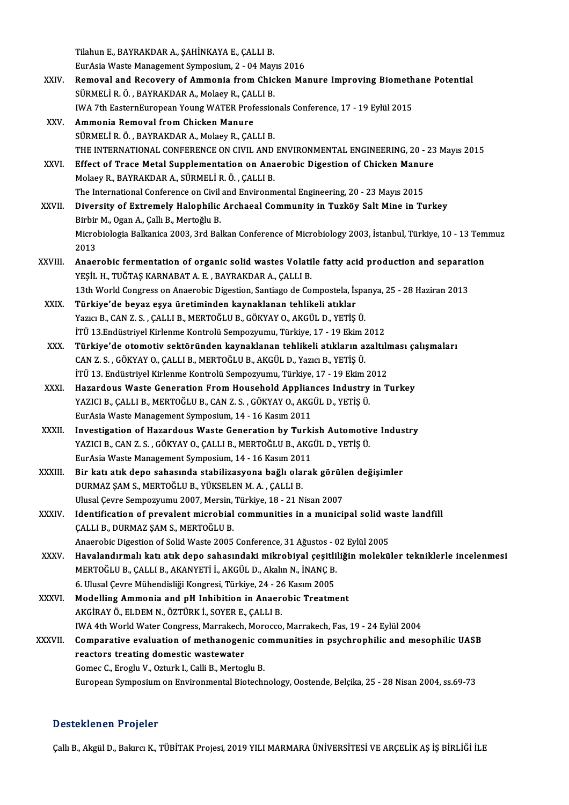Tilahun E., BAYRAKDAR A., ŞAHİNKAYA E., ÇALLI B.<br>Eundeja Wasta Manazamant Sumnasium, 2., 04 May

Tilahun E., BAYRAKDAR A., ŞAHİNKAYA E., ÇALLI B.<br>EurAsia Waste Management Symposium, 2 - 04 Mayıs 2016<br>Bemeval and Besevery of Ammenia from Chicken Me

- Tilahun E., BAYRAKDAR A., ŞAHİNKAYA E., ÇALLI B.<br>EurAsia Waste Management Symposium, 2 04 Mayıs 2016<br>XXIV. Removal and Recovery of Ammonia from Chicken Manure Improving Biomethane Potential<br>SÜPMELLE Ö. BAYRAKDAR A. Malas EurAsia Waste Management Symposium, 2 - 04 May<br>Removal and Recovery of Ammonia from Chic<br>SÜRMELİ R. Ö. , BAYRAKDAR A., Molaey R., ÇALLI B.<br>WA 7th FesternFurencen Young WATER Prefession Removal and Recovery of Ammonia from Chicken Manure Improving Biometh<br>SÜRMELİ R. Ö. , BAYRAKDAR A., Molaey R., ÇALLI B.<br>IWA 7th EasternEuropean Young WATER Professionals Conference, 17 - 19 Eylül 2015<br>Ammonia Bemoval from IWA 7th EasternEuropean Young WATER Professionals Conference, 17 - 19 Eylül 2015
- SÜRMELİ R. Ö. , BAYRAKDAR A., Molaey R., ÇALLI B.<br>IWA 7th EasternEuropean Young WATER Profession<br>XXV. **Ammonia Removal from Chicken Manure**<br>SÜRMELİ R. Ö. , BAYRAKDAR A., Molaey R., ÇALLI B. Ammonia Removal from Chicken Manure<br>SÜRMELİ R. Ö. , BAYRAKDAR A., Molaey R., ÇALLI B.<br>THE INTERNATIONAL CONFERENCE ON CIVIL AND ENVIRONMENTAL ENGINEERING, 20 - 23 Mayıs 2015<br>Effect of Trace Metal Sunnlomentation on Anaerob SÜRMELİ R. Ö. , BAYRAKDAR A., Molaey R., ÇALLI B.<br>THE INTERNATIONAL CONFERENCE ON CIVIL AND ENVIRONMENTAL ENGINEERING, 20 - 23<br>XXVI. Effect of Trace Metal Supplementation on Anaerobic Digestion of Chicken Manure
- THE INTERNATIONAL CONFERENCE ON CIVIL AND<br>Effect of Trace Metal Supplementation on Ana<br>Molaey R., BAYRAKDAR A., SÜRMELİ R. Ö. , ÇALLI B.<br>The International Conference on Givil and Environm Effect of Trace Metal Supplementation on Anaerobic Digestion of Chicken Manure<br>Molaey R., BAYRAKDAR A., SÜRMELİ R. Ö., CALLI B. The International Conference on Civil and Environmental Engineering, 20 - 23 Mayıs 2015
- XXVII. Diversity of Extremely Halophilic Archaeal Community in Tuzköy Salt Mine in Turkey<br>Birbir M., Ogan A., Çallı B., Mertoğlu B. Diversity of Extremely Halophilic Archaeal Community in Tuzköy Salt Mine in Turkey<br>Birbir M., Ogan A., Çallı B., Mertoğlu B.<br>Microbiologia Balkanica 2003, 3rd Balkan Conference of Microbiology 2003, İstanbul, Türkiye, 10 -Birbir<br>Microl<br>2013<br>Angel Microbiologia Balkanica 2003, 3rd Balkan Conference of Microbiology 2003, İstanbul, Türkiye, 10 - 13 Tem<br>2013<br>XXVIII. Anaerobic fermentation of organic solid wastes Volatile fatty acid production and separation<br>2013 - YESU
- 2013<br>Anaerobic fermentation of organic solid wastes Volati<br>YEŞİL H., TUĞTAŞ KARNABAT A. E. , BAYRAKDAR A., ÇALLI B.<br>12th World Congress en Anaerobis Digestion Santiage de Co Anaerobic fermentation of organic solid wastes Volatile fatty acid production and separat<br>YEŞİL H., TUĞTAŞ KARNABAT A. E. , BAYRAKDAR A., ÇALLI B.<br>13th World Congress on Anaerobic Digestion, Santiago de Compostela, İspanya YEŞİL H., TUĞTAŞ KARNABAT A. E. , BAYRAKDAR A., ÇALLI B.<br>13th World Congress on Anaerobic Digestion, Santiago de Compostela, İspanya, 25 - 28 Haziran 2013<br>XXIX. Türkiye'de beyaz eşya üretiminden kaynaklanan tehlikeli a
- 13th World Congress on Anaerobic Digestion, Santiago de Compostela, İspa<br>Türkiye'de beyaz eşya üretiminden kaynaklanan tehlikeli atıklar<br>Yazıcı B., CAN Z. S. , ÇALLI B., MERTOĞLU B., GÖKYAY O., AKGÜL D., YETİŞ Ü.<br>İTÜ 12 En Türkiye'de beyaz eşya üretiminden kaynaklanan tehlikeli atıklar<br>Yazıcı B., CAN Z. S. , ÇALLI B., MERTOĞLU B., GÖKYAY O., AKGÜL D., YETİŞ Ü.<br>İTÜ 13.Endüstriyel Kirlenme Kontrolü Sempozyumu, Türkiye, 17 - 19 Ekim 2012<br>Türkiy
- İTÜ 13.Endüstriyel Kirlenme Kontrolü Sempozyumu, Türkiye, 17 19 Ekim 2012<br>XXX. Türkiye'de otomotiv sektöründen kaynaklanan tehlikeli atıkların azaltılması çalışmaları CANZ.S. ,GÖKYAYO.,ÇALLIB.,MERTOĞLUB.,AKGÜLD.,YazıcıB.,YETİŞÜ. Türkiye'de otomotiv sektöründen kaynaklanan tehlikeli atıkların azaltılı<br>CAN Z. S. , GÖKYAY O., ÇALLI B., MERTOĞLU B., AKGÜL D., Yazıcı B., YETİŞ Ü.<br>İTÜ 13. Endüstriyel Kirlenme Kontrolü Sempozyumu, Türkiye, 17 - 19 Ekim 2
- XXXI. HazardousWaste Generation FromHousehold Appliances Industry in Turkey İTÜ 13. Endüstriyel Kirlenme Kontrolü Sempozyumu, Türkiye, 17 - 19 Ekim 2<br>Hazardous Waste Generation From Household Appliances Industry<br>YAZICI B., ÇALLI B., MERTOĞLU B., CAN Z. S. , GÖKYAY O., AKGÜL D., YETİŞ Ü.<br>Funâsia Wa YAZICI B., ÇALLI B., MERTOĞLU B., CAN Z. S., GÖKYAY O., AKGÜL D., YETİŞ Ü.<br>EurAsia Waste Management Symposium, 14 - 16 Kasım 2011
- XXXII. Investigation of Hazardous Waste Generation by Turkish Automotive Industry EurAsia Waste Management Symposium, 14 - 16 Kasım 2011<br>Investigation of Hazardous Waste Generation by Turkish Automotiv<br>YAZICI B., CAN Z. S. , GÖKYAY O., ÇALLI B., MERTOĞLU B., AKGÜL D., YETİŞ Ü.<br>EurAsia Waste Management S Investigation of Hazardous Waste Generation by Turki<br>YAZICI B., CAN Z. S. , GÖKYAY O., ÇALLI B., MERTOĞLU B., AKG<br>EurAsia Waste Management Symposium, 14 - 16 Kasım 2011<br>Bir katı atık dana sahasında atabilizesyona bağlı ala YAZICI B., CAN Z. S. , GÖKYAY O., ÇALLI B., MERTOĞLU B., AKGÜL D., YETİŞ Ü.<br>EurAsia Waste Management Symposium, 14 - 16 Kasım 2011<br>XXXIII. Bir katı atık depo sahasında stabilizasyona bağlı olarak görülen değişimler<br>DUBMAZ
- EurAsia Waste Management Symposium, 14 16 Kasım 2011<br>Bir katı atık depo sahasında stabilizasyona bağlı olarak görülen değişimler<br>DURMAZ ŞAM S., MERTOĞLU B., YÜKSELEN M. A. , ÇALLI B. UlusalÇevre Sempozyumu 2007,Mersin,Türkiye,18 -21Nisan2007 DURMAZ ȘAM S., MERTOĞLU B., YÜKSELEN M. A. , ÇALLI B.<br>Ulusal Çevre Sempozyumu 2007, Mersin, Türkiye, 18 - 21 Nisan 2007<br>XXXIV. Identification of prevalent microbial communities in a municipal solid waste landfill<br>CALLI B.
- ÇALLI B., DURMAZ ŞAM S., MERTOĞLU B.<br>Anaerobic Digestion of Solid Waste 2005 Conference, 31 Ağustos 02 Eylül 2005 Identification of prevalent microbial communities in a municipal solid w<br>ÇALLI B., DURMAZ ŞAM S., MERTOĞLU B.<br>Anaerobic Digestion of Solid Waste 2005 Conference, 31 Ağustos - 02 Eylül 2005<br>Havelandırmalı katı atık dana sab
- XXXV. Havalandırmalı katı atık depo sahasındaki mikrobiyal çeşitliliğin moleküler tekniklerle incelenmesi Anaerobic Digestion of Solid Waste 2005 Conference, 31 Ağustos - C<br>Havalandırmalı katı atık depo sahasındaki mikrobiyal çeşitli<br>MERTOĞLU B., ÇALLI B., AKANYETİ İ., AKGÜL D., Akalın N., İNANÇ B.<br>6 Hlusel Covre Mühandisliği Havalandırmalı katı atık depo sahasındaki mikrobiyal çeşitli<br>MERTOĞLU B., ÇALLI B., AKANYETİ İ., AKGÜL D., Akalın N., İNANÇ B.<br>6. Ulusal Çevre Mühendisliği Kongresi, Türkiye, 24 - 26 Kasım 2005<br>Medelling Ammania and nH Inb MERTOĞLU B., ÇALLI B., AKANYETİ İ., AKGÜL D., Akalın N., İNANÇ B.<br>6. Ulusal Çevre Mühendisliği Kongresi, Türkiye, 24 - 26 Kasım 2005<br>XXXVI. Modelling Ammonia and pH Inhibition in Anaerobic Treatment<br>AKCİPAYÖ ELDEM N. ÖZTÜP
- 6. Ulusal Çevre Mühendisliği Kongresi, Türkiye, 24 26 Kasım 2005<br>Modelling Ammonia and pH Inhibition in Anaerobic Treatment<br>AKGİRAY Ö., ELDEM N., ÖZTÜRK İ., SOYER E., ÇALLI B. Modelling Ammonia and pH Inhibition in Anaerobic Treatment<br>AKGİRAY Ö., ELDEM N., ÖZTÜRK İ., SOYER E., ÇALLI B.<br>IWA 4th World Water Congress, Marrakech, Morocco, Marrakech, Fas, 19 - 24 Eylül 2004<br>Comparative evaluation of AKGİRAY Ö., ELDEM N., ÖZTÜRK İ., SOYER E., ÇALLI B.<br>IWA 4th World Water Congress, Marrakech, Morocco, Marrakech, Fas, 19 - 24 Eylül 2004<br>XXXVII. Comparative evaluation of methanogenic communities in psychrophilic and m
- IWA 4th World Water Congress, Marrakech,<br>Comparative evaluation of methanogen<br>reactors treating domestic wastewater Comparative evaluation of methanogenic conditions treating domestic wastewater<br>Gomec C., Eroglu V., Ozturk I., Calli B., Mertoglu B.<br>European Sympogium on Environmental Bistech: reactors treating domestic wastewater<br>Gomec C., Eroglu V., Ozturk I., Calli B., Mertoglu B.<br>European Symposium on Environmental Biotechnology, Oostende, Belçika, 25 - 28 Nisan 2004, ss.69-73

## Desteklenen Projeler

Çallı B., Akgül D., Bakırcı K., TÜBİTAK Projesi, 2019 YILI MARMARA ÜNİVERSİTESİ VE ARÇELİK AŞ İŞ BİRLİĞİ İLE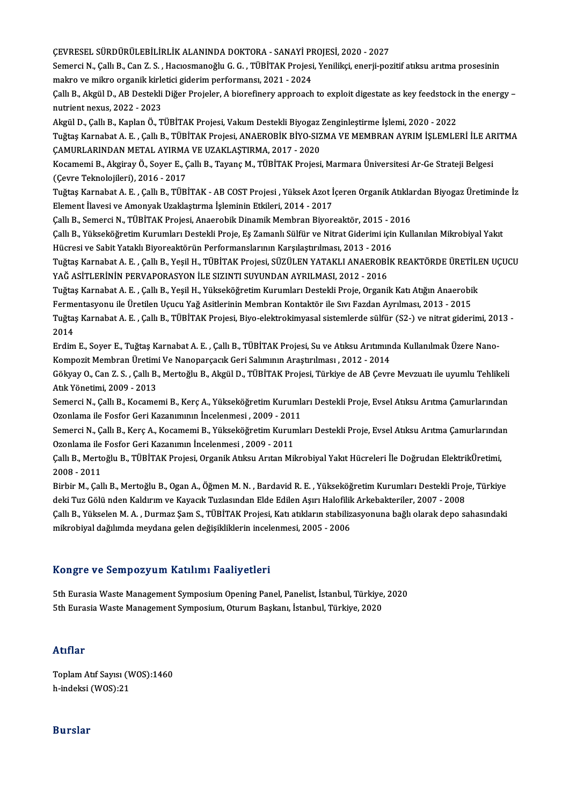ÇEVRESEL SÜRDÜRÜLEBİLİRLİKALANINDADOKTORA-SANAYİPROJESİ,2020 -2027

ÇEVRESEL SÜRDÜRÜLEBİLİRLİK ALANINDA DOKTORA - SANAYİ PROJESİ, 2020 - 2027<br>Semerci N., Çallı B., Can Z. S. , Hacıosmanoğlu G. G. , TÜBİTAK Projesi, Yenilikçi, enerji-pozitif atıksu arıtma prosesinin<br>makna ve milye ensanik k ÇEVRESEL SÜRDÜRÜLEBİLİRLİK ALANINDA DOKTORA - SANAYİ PF<br>Semerci N., Çallı B., Can Z. S. , Hacıosmanoğlu G. G. , TÜBİTAK Projesi<br>makro ve mikro organik kirletici giderim performansı, 2021 - 2024<br>Callı B., Alexil D., AR Dest Semerci N., Çallı B., Can Z. S. , Hacıosmanoğlu G. G. , TÜBİTAK Projesi, Yenilikçi, enerji-pozitif atıksu arıtma prosesinin<br>makro ve mikro organik kirletici giderim performansı, 2021 - 2024<br>Çallı B., Akgül D., AB Destekli

makro ve mikro organik kirle<br>Çallı B., Akgül D., AB Destekli<br>nutrient nexus, 2022 - 2023<br>Akgül D. Çallı B. Kaplan Ö. T Çallı B., Akgül D., AB Destekli Diğer Projeler, A biorefinery approach to exploit digestate as key feedstock i<br>nutrient nexus, 2022 - 2023<br>Akgül D., Çallı B., Kaplan Ö., TÜBİTAK Projesi, Vakum Destekli Biyogaz Zenginleştir

nutrient nexus, 2022 - 2023<br>Akgül D., Çallı B., Kaplan Ö., TÜBİTAK Projesi, Vakum Destekli Biyogaz Zenginleştirme İşlemi, 2020 - 2022<br>Tuğtaş Karnabat A. E. , Çallı B., TÜBİTAK Projesi, ANAEROBİK BİYO-SIZMA VE MEMBRAN AYRIM Akgül D., Çallı B., Kaplan Ö., TÜBİTAK Projesi, Vakum Destekli Biyogaz !<br>Tuğtaş Karnabat A. E. , Çallı B., TÜBİTAK Projesi, ANAEROBİK BİYO-SIZ<br>ÇAMURLARINDAN METAL AYIRMA VE UZAKLAŞTIRMA, 2017 - 2020<br>Kosamemi B., Aksinav Ö. Tuğtaş Karnabat A. E. , Çallı B., TÜBİTAK Projesi, ANAEROBİK BİYO-SIZMA VE MEMBRAN AYRIM İŞLEMLERİ İLE AF<br>ÇAMURLARINDAN METAL AYIRMA VE UZAKLAŞTIRMA, 2017 - 2020<br>Kocamemi B., Akgiray Ö., Soyer E., Çallı B., Tayanç M., TÜBİ

ÇAMURLARINDAN METAL AYIRMA VE UZAKLAŞTIRMA, 2017 - 2020<br>Kocamemi B., Akgiray Ö., Soyer E., Çallı B., Tayanç M., TÜBİTAK Projesi, Marmara Üniversitesi Ar-Ge Strateji Belgesi<br>(Çevre Teknolojileri), 2016 - 2017 Kocamemi B., Akgiray Ö., Soyer E., Çallı B., Tayanç M., TÜBİTAK Projesi, Marmara Üniversitesi Ar-Ge Strateji Belgesi<br>(Çevre Teknolojileri), 2016 - 2017<br>Tuğtaş Karnabat A. E. , Çallı B., TÜBİTAK - AB COST Projesi , Yüksek A

(Çevre Teknolojileri), 2016 - 2017<br>Tuğtaş Karnabat A. E. , Çallı B., TÜBİTAK - AB COST Projesi , Yüksek Azot İ<br>Element İlavesi ve Amonyak Uzaklaştırma İşleminin Etkileri, 2014 - 2017<br>Callı B. Samorgi N. TÜPİTAK Projesi, An Tuğtaş Karnabat A. E. , Çallı B., TÜBİTAK - AB COST Projesi , Yüksek Azot İçeren Organik Atıkla<br>Element İlavesi ve Amonyak Uzaklaştırma İşleminin Etkileri, 2014 - 2017<br>Çallı B., Semerci N., TÜBİTAK Projesi, Anaerobik Dinam

Element İlavesi ve Amonyak Uzaklaştırma İşleminin Etkileri, 2014 - 2017<br>Çallı B., Semerci N., TÜBİTAK Projesi, Anaerobik Dinamik Membran Biyoreaktör, 2015 - 2016<br>Çallı B., Yükseköğretim Kurumları Destekli Proje, Eş Zamanlı Çallı B., Semerci N., TÜBİTAK Projesi, Anaerobik Dinamik Membran Biyoreaktör, 2015 - 2<br>Çallı B., Yükseköğretim Kurumları Destekli Proje, Eş Zamanlı Sülfür ve Nitrat Giderimi içir<br>Hücresi ve Sabit Yataklı Biyoreaktörün Perf Çallı B., Yükseköğretim Kurumları Destekli Proje, Eş Zamanlı Sülfür ve Nitrat Giderimi için Kullanılan Mikrobiyal Yakıt<br>Hücresi ve Sabit Yataklı Biyoreaktörün Performanslarının Karşılaştırılması, 2013 - 2016<br>Tuğtaş Karnaba

Hücresi ve Sabit Yataklı Biyoreaktörün Performanslarının Karşılaştırılması, 2013 - 2016<br>Tuğtaş Karnabat A. E. , Çallı B., Yeşil H., TÜBİTAK Projesi, SÜZÜLEN YATAKLI ANAEROBİK REAKTÖRDE ÜRETİLI<br>YAĞ ASİTLERİNİN PERVAPORASYON Tuğtaş Karnabat A. E. , Çallı B., Yeşil H., TÜBİTAK Projesi, SÜZÜLEN YATAKLI ANAEROBİK REAKTÖRDE ÜRETİLEN UÇUCU

Fermentasyonu ile Üretilen Uçucu Yağ Asitlerinin Membran Kontaktör ile Sıvı Fazdan Ayrılması, 2013 - 2015

Tuğtaş Karnabat A. E. , Çallı B., Yeşil H., Yükseköğretim Kurumları Destekli Proje, Organik Katı Atığın Anaerobik<br>Fermentasyonu ile Üretilen Uçucu Yağ Asitlerinin Membran Kontaktör ile Sıvı Fazdan Ayrılması, 2013 - 2015<br>Tu Ferme<br>Tuğta:<br>2014<br>Erdim Tuğtaş Karnabat A. E. , Çallı B., TÜBİTAK Projesi, Biyo-elektrokimyasal sistemlerde sülfür (S2-) ve nitrat giderimi, 20<br>2014<br>Erdim E., Soyer E., Tuğtaş Karnabat A. E. , Çallı B., TÜBİTAK Projesi, Su ve Atıksu Arıtımında Ku

2014<br>Erdim E., Soyer E., Tuğtaş Karnabat A. E. , Çallı B., TÜBİTAK Projesi, Su ve Atıksu Arıtımını<br>Kompozit Membran Üretimi Ve Nanoparçacık Geri Salımının Araştırılması , 2012 - 2014<br>Cölvey O. Can Z. S., Callı B. Merteğlu Erdim E., Soyer E., Tuğtaş Karnabat A. E. , Çallı B., TÜBİTAK Projesi, Su ve Atıksu Arıtımında Kullanılmak Üzere Nano-<br>Kompozit Membran Üretimi Ve Nanoparçacık Geri Salımının Araştırılması , 2012 - 2014<br>Gökyay O., Can Z. S

Kompozit Membran Üretim<br>Gökyay O., Can Z. S. , Çallı B.<br>Atık Yönetimi, 2009 - 2013<br>Semerci N. Callı B. Kesame Gökyay O., Can Z. S. , Çallı B., Mertoğlu B., Akgül D., TÜBİTAK Projesi, Türkiye de AB Çevre Mevzuatı ile uyumlu Tehlikeli<br>Atık Yönetimi, 2009 - 2013<br>Semerci N., Çallı B., Kocamemi B., Kerç A., Yükseköğretim Kurumları Dest

Atık Yönetimi, 2009 - 2013<br>Semerci N., Çallı B., Kocamemi B., Kerç A., Yükseköğretim Kurumla<br>Ozonlama ile Fosfor Geri Kazanımının İncelenmesi , 2009 - 2011<br>Semerci N. Çallı B. Kars A. Kosamemi B. Yükseköğretim Kurumla Semerci N., Çallı B., Kocamemi B., Kerç A., Yükseköğretim Kurumları Destekli Proje, Evsel Atıksu Arıtma Çamurlarından<br>Ozonlama ile Fosfor Geri Kazanımının İncelenmesi , 2009 - 2011<br>Semerci N., Çallı B., Kerç A., Kocamemi B

Ozonlama ile Fosfor Geri Kazanımının İncelenmesi , 2009 - 201<br>Semerci N., Çallı B., Kerç A., Kocamemi B., Yükseköğretim Kurun<br>Ozonlama ile Fosfor Geri Kazanımın İncelenmesi , 2009 - 2011<br>Cellı B. Morteğlu B., TÜRİTAK Breje Semerci N., Çallı B., Kerç A., Kocamemi B., Yükseköğretim Kurumları Destekli Proje, Evsel Atıksu Arıtma Çamurlarından<br>Ozonlama ile Fosfor Geri Kazanımın İncelenmesi , 2009 - 2011<br>Çallı B., Mertoğlu B., TÜBİTAK Projesi, Org

Ozonlama ile<br>Çallı B., Merto<br>2008 - 2011<br>Birbir M. Coll Çallı B., Mertoğlu B., TÜBİTAK Projesi, Organik Atıksu Arıtan Mikrobiyal Yakıt Hücreleri İle Doğrudan ElektrikÜretimi,<br>2008 - 2011<br>Birbir M., Çallı B., Mertoğlu B., Ogan A., Öğmen M. N. , Bardavid R. E. , Yükseköğretim Kur

2008 - 2011<br>Birbir M., Çallı B., Mertoğlu B., Ogan A., Öğmen M. N. , Bardavid R. E. , Yükseköğretim Kurumları Destekli Proj<br>deki Tuz Gölü nden Kaldırım ve Kayacık Tuzlasından Elde Edilen Aşırı Halofilik Arkebakteriler, 200 Birbir M., Çallı B., Mertoğlu B., Ogan A., Öğmen M. N. , Bardavid R. E. , Yükseköğretim Kurumları Destekli Proje, Türkiye<br>deki Tuz Gölü nden Kaldırım ve Kayacık Tuzlasından Elde Edilen Aşırı Halofilik Arkebakteriler, 2007

deki Tuz Gölü nden Kaldırım ve Kayacık Tuzlasından Elde Edilen Aşırı Halofilik Arkebakteriler, 2007 - 2008<br>Çallı B., Yükselen M. A. , Durmaz Şam S., TÜBİTAK Projesi, Katı atıkların stabilizasyonuna bağlı olarak depo sahası

## Kongre ve SempozyumKatılımı Faaliyetleri

Kongre ve Sempozyum Katılımı Faaliyetleri<br>5th Eurasia Waste Management Symposium Opening Panel, Panelist, İstanbul, Türkiye, 2020<br>5th Eurasia Waste Management Symposium Oturum Baskanı, İstanbul, Türkiye, 2020 1tongro ve bomponyam natiminin ratnıyotlor.<br>5th Eurasia Waste Management Symposium Opening Panel, Panelist, İstanbul, Türkiye,<br>5th Eurasia Waste Management Symposium, Oturum Başkanı, İstanbul, Türkiye, 2020 5th Eurasia Waste Management Symposium, Oturum Başkanı, İstanbul, Türkiye, 2020<br>Atıflar

Atıflar<br>Toplam Atıf Sayısı (WOS):1460<br>b indeksi (WOS):21 rrerrer<br>Toplam Atıf Sayısı (V<br>h-indeksi (WOS):21 h-indeksi (WOS):21<br>Burslar